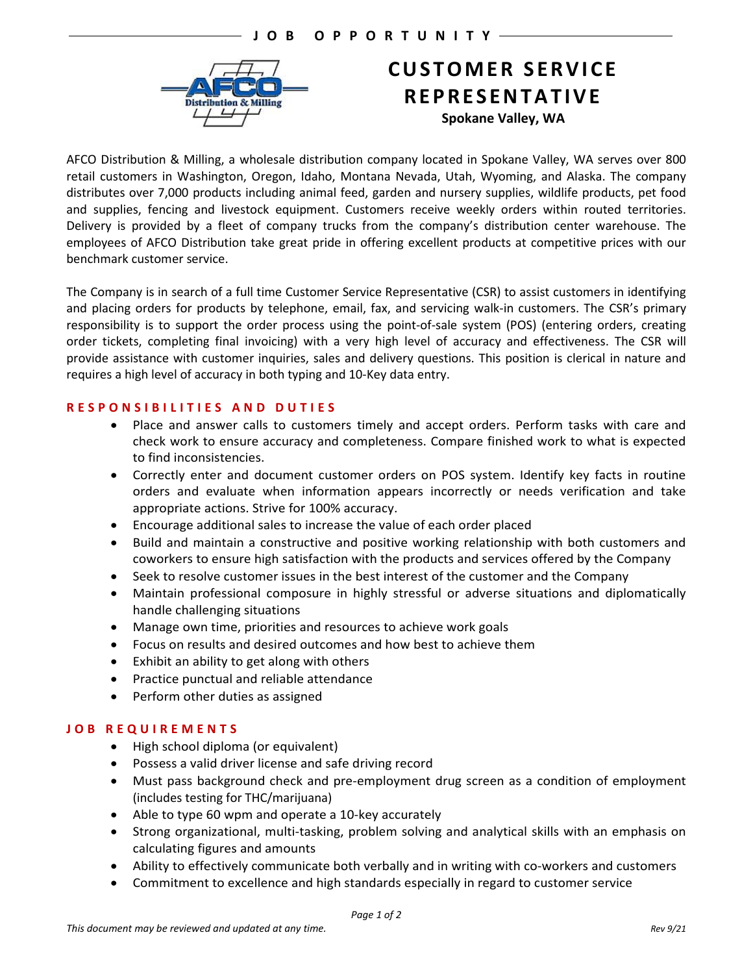

# **CUSTOMER SERVICE REPRESENTATIVE Spokane Valley, WA**

AFCO Distribution & Milling, a wholesale distribution company located in Spokane Valley, WA serves over 800 retail customers in Washington, Oregon, Idaho, Montana Nevada, Utah, Wyoming, and Alaska. The company distributes over 7,000 products including animal feed, garden and nursery supplies, wildlife products, pet food and supplies, fencing and livestock equipment. Customers receive weekly orders within routed territories. Delivery is provided by a fleet of company trucks from the company's distribution center warehouse. The employees of AFCO Distribution take great pride in offering excellent products at competitive prices with our benchmark customer service.

The Company is in search of a full time Customer Service Representative (CSR) to assist customers in identifying and placing orders for products by telephone, email, fax, and servicing walk-in customers. The CSR's primary responsibility is to support the order process using the point-of-sale system (POS) (entering orders, creating order tickets, completing final invoicing) with a very high level of accuracy and effectiveness. The CSR will provide assistance with customer inquiries, sales and delivery questions. This position is clerical in nature and requires a high level of accuracy in both typing and 10-Key data entry.

# **RESPONSIBILITIES AND DUTIES**

- Place and answer calls to customers timely and accept orders. Perform tasks with care and check work to ensure accuracy and completeness. Compare finished work to what is expected to find inconsistencies.
- Correctly enter and document customer orders on POS system. Identify key facts in routine orders and evaluate when information appears incorrectly or needs verification and take appropriate actions. Strive for 100% accuracy.
- Encourage additional sales to increase the value of each order placed
- Build and maintain a constructive and positive working relationship with both customers and coworkers to ensure high satisfaction with the products and services offered by the Company
- Seek to resolve customer issues in the best interest of the customer and the Company
- Maintain professional composure in highly stressful or adverse situations and diplomatically handle challenging situations
- Manage own time, priorities and resources to achieve work goals
- Focus on results and desired outcomes and how best to achieve them
- Exhibit an ability to get along with others
- Practice punctual and reliable attendance
- Perform other duties as assigned

# **JOB REQUIREMENTS**

- High school diploma (or equivalent)
- Possess a valid driver license and safe driving record
- Must pass background check and pre-employment drug screen as a condition of employment (includes testing for THC/marijuana)
- Able to type 60 wpm and operate a 10-key accurately
- Strong organizational, multi-tasking, problem solving and analytical skills with an emphasis on calculating figures and amounts
- Ability to effectively communicate both verbally and in writing with co-workers and customers
- Commitment to excellence and high standards especially in regard to customer service